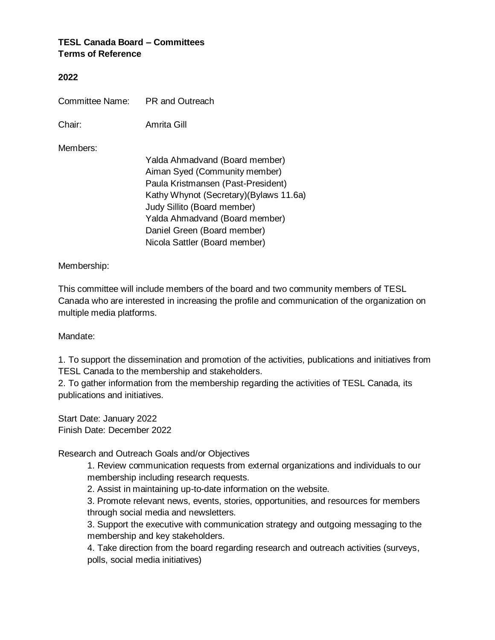## **TESL Canada Board – Committees Terms of Reference**

## **2022**

| Committee Name: | <b>PR</b> and Outreach                                                                                                                                                                                                                                                            |
|-----------------|-----------------------------------------------------------------------------------------------------------------------------------------------------------------------------------------------------------------------------------------------------------------------------------|
| Chair:          | Amrita Gill                                                                                                                                                                                                                                                                       |
| Members:        | Yalda Ahmadvand (Board member)<br>Aiman Syed (Community member)<br>Paula Kristmansen (Past-President)<br>Kathy Whynot (Secretary) (Bylaws 11.6a)<br>Judy Sillito (Board member)<br>Yalda Ahmadvand (Board member)<br>Daniel Green (Board member)<br>Nicola Sattler (Board member) |

## Membership:

This committee will include members of the board and two community members of TESL Canada who are interested in increasing the profile and communication of the organization on multiple media platforms.

## Mandate:

1. To support the dissemination and promotion of the activities, publications and initiatives from TESL Canada to the membership and stakeholders.

2. To gather information from the membership regarding the activities of TESL Canada, its publications and initiatives.

Start Date: January 2022 Finish Date: December 2022

Research and Outreach Goals and/or Objectives

1. Review communication requests from external organizations and individuals to our membership including research requests.

2. Assist in maintaining up-to-date information on the website.

3. Promote relevant news, events, stories, opportunities, and resources for members through social media and newsletters.

3. Support the executive with communication strategy and outgoing messaging to the membership and key stakeholders.

4. Take direction from the board regarding research and outreach activities (surveys, polls, social media initiatives)